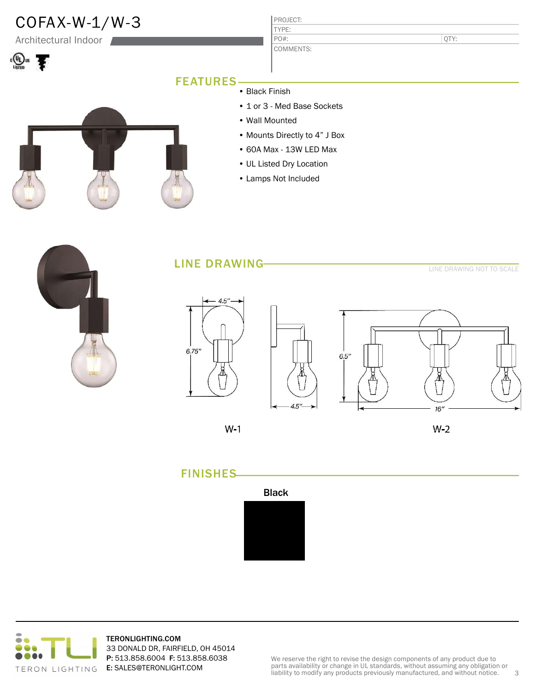

Architectural Indoor



QTY:

#### FEATURES

- Black Finish
- 1 or 3 Med Base Sockets

TYPE:

PO#:

- Wall Mounted
- Mounts Directly to 4" J Box
- 60A Max 13W LED Max
- UL Listed Dry Location
- Lamps Not Included

LINE DRAWING

LINE DRAWING NOT TO SCALE









 $W-1$ 

 $W-2$ 





TERONLIGHTING.COM 33 DONALD DR, FAIRFIELD, OH 45014 P: 513.858.6004 F: 513.858.6038 E: SALES@TERONLIGHT.COM